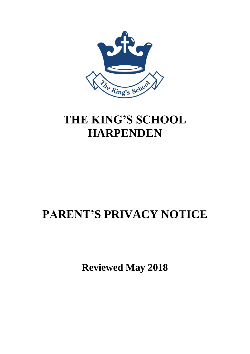

## **THE KING'S SCHOOL HARPENDEN**

# **PARENT'S PRIVACY NOTICE**

**Reviewed May 2018**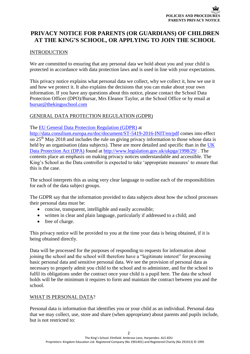## **PRIVACY NOTICE FOR PARENTS (OR GUARDIANS) OF CHILDREN AT THE KING'S SCHOOL, OR APPLYING TO JOIN THE SCHOOL**

## **INTRODUCTION**

We are committed to ensuring that any personal data we hold about you and your child is protected in accordance with data protection laws and is used in line with your expectations.

This privacy notice explains what personal data we collect, why we collect it, how we use it and how we protect it. It also explains the decisions that you can make about your own information. If you have any questions about this notice, please contact the School Data Protection Officer (DPO)/Bursar, Mrs Eleanor Taylor, at the School Office or by email at [bursar@thekingsschool.com](mailto:bursar@thekingsschool.com)

## GENERAL DATA PROTECTION REGULATION (GDPR)

The [EU General Data Protection Regulation \(GDPR\)](http://data.consilium.europa.eu/doc/document/ST-5419-2016-INIT/en/pdf) at

<http://data.consilium.europa.eu/doc/document/ST-5419-2016-INIT/en/pdf> comes into effect on 25<sup>th</sup> May 2018 and includes the rule on giving privacy information to those whose data is held by an organisation (data subjects). These are more detailed and specific than in the UK [Data Protection Act \(DPA\)](http://www.legislation.gov.uk/ukpga/1998/29/contents) found at<http://www.legislation.gov.uk/ukpga/1998/29/> . The contents place an emphasis on making privacy notices understandable and accessible. The King's School as the Data controller is expected to take 'appropriate measures' to ensure that this is the case.

The school interprets this as using very clear language to outline each of the responsibilities for each of the data subject groups.

The GDPR say that the information provided to data subjects about how the school processes their personal data must be:

- concise, transparent, intelligible and easily accessible;
- written in clear and plain language, particularly if addressed to a child; and
- free of charge.

This privacy notice will be provided to you at the time your data is being obtained, if it is being obtained directly.

Data will be processed for the purposes of responding to requests for information about joining the school and the school will therefore have a "legitimate interest" for processing basic personal data and sensitive personal data. We see the provision of personal data as necessary to properly admit you child to the school and to administer, and for the school to fulfil its obligations under the contract once your child is a pupil here. The data the school holds will be the minimum it requires to form and maintain the contract between you and the school.

## WHAT IS PERSONAL DATA?

Personal data is information that identifies you or your child as an individual. Personal data that we may collect, use, store and share (when appropriate) about parents and pupils include, but is not restricted to: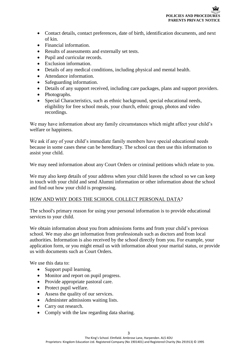- Contact details, contact preferences, date of birth, identification documents, and next of kin.
- Financial information.
- Results of assessments and externally set tests.
- Pupil and curricular records.
- Exclusion information.
- Details of any medical conditions, including physical and mental health.
- Attendance information.
- Safeguarding information.
- Details of any support received, including care packages, plans and support providers.
- Photographs.
- Special Characteristics, such as ethnic background, special educational needs, eligibility for free school meals, your church, ethnic group, photos and video recordings.

We may have information about any family circumstances which might affect your child's welfare or happiness.

We ask if any of your child's immediate family members have special educational needs because in some cases these can be hereditary. The school can then use this information to assist your child.

We may need information about any Court Orders or criminal petitions which relate to you.

We may also keep details of your address when your child leaves the school so we can keep in touch with your child and send Alumni information or other information about the school and find out how your child is progressing.

## HOW AND WHY DOES THE SCHOOL COLLECT PERSONAL DATA?

The school's primary reason for using your personal information is to provide educational services to your child.

We obtain information about you from admissions forms and from your child's previous school. We may also get information from professionals such as doctors and from local authorities. Information is also received by the school directly from you. For example, your application form, or you might email us with information about your marital status, or provide us with documents such as Court Orders.

We use this data to:

- Support pupil learning.
- Monitor and report on pupil progress.
- Provide appropriate pastoral care.
- Protect pupil welfare.
- Assess the quality of our services.
- Administer admissions waiting lists.
- Carry out research.
- Comply with the law regarding data sharing.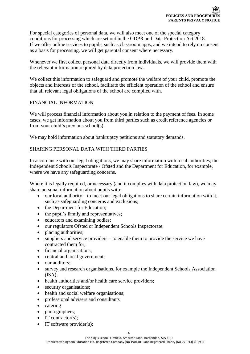For special categories of personal data, we will also meet one of the special category conditions for processing which are set out in the GDPR and Data Protection Act 2018. If we offer online services to pupils, such as classroom apps, and we intend to rely on consent as a basis for processing, we will get parental consent where necessary.

Whenever we first collect personal data directly from individuals, we will provide them with the relevant information required by data protection law.

We collect this information to safeguard and promote the welfare of your child, promote the objects and interests of the school, facilitate the efficient operation of the school and ensure that all relevant legal obligations of the school are complied with.

## FINANCIAL INFORMATION

We will process financial information about you in relation to the payment of fees. In some cases, we get information about you from third parties such as credit reference agencies or from your child's previous school(s).

We may hold information about bankruptcy petitions and statutory demands.

## SHARING PERSONAL DATA WITH THIRD PARTIES

In accordance with our legal obligations, we may share information with local authorities, the Independent Schools Inspectorate / Ofsted and the Department for Education, for example, where we have any safeguarding concerns.

Where it is legally required, or necessary (and it complies with data protection law), we may share personal information about pupils with:

- our local authority to meet our legal obligations to share certain information with it, such as safeguarding concerns and exclusions;
- the Department for Education;
- the pupil's family and representatives;
- educators and examining bodies;
- our regulators Ofsted or Independent Schools Inspectorate;
- placing authorities;
- suppliers and service providers to enable them to provide the service we have contracted them for;
- financial organisations;
- central and local government:
- our auditors:
- survey and research organisations, for example the Independent Schools Association  $(ISA):$
- health authorities and/or health care service providers;
- security organisations;
- health and social welfare organisations;
- professional advisers and consultants
- catering
- photographers;
- IT contractor(s);
- IT software provider(s);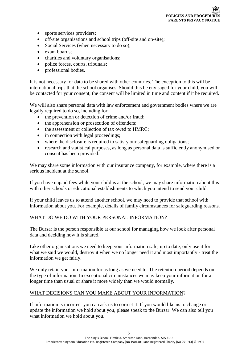- sports services providers;
- off-site organisations and school trips (off-site and on-site);
- Social Services (when necessary to do so);
- exam boards;
- charities and voluntary organisations;
- police forces, courts, tribunals;
- professional bodies.

It is not necessary for data to be shared with other countries. The exception to this will be international trips that the school organises. Should this be envisaged for your child, you will be contacted for your consent; the consent will be limited in time and content if it be required.

We will also share personal data with law enforcement and government bodies where we are legally required to do so, including for:

- the prevention or detection of crime and/or fraud;
- the apprehension or prosecution of offenders;
- the assessment or collection of tax owed to HMRC;
- in connection with legal proceedings;
- where the disclosure is required to satisfy our safeguarding obligations;
- research and statistical purposes, as long as personal data is sufficiently anonymised or consent has been provided.

We may share some information with our insurance company, for example, where there is a serious incident at the school.

If you have unpaid fees while your child is at the school, we may share information about this with other schools or educational establishments to which you intend to send your child.

If your child leaves us to attend another school, we may need to provide that school with information about you. For example, details of family circumstances for safeguarding reasons.

## WHAT DO WE DO WITH YOUR PERSONAL INFORMATION?

The Bursar is the person responsible at our school for managing how we look after personal data and deciding how it is shared.

Like other organisations we need to keep your information safe, up to date, only use it for what we said we would, destroy it when we no longer need it and most importantly - treat the information we get fairly.

We only retain your information for as long as we need to. The retention period depends on the type of information. In exceptional circumstances we may keep your information for a longer time than usual or share it more widely than we would normally.

## WHAT DECISIONS CAN YOU MAKE ABOUT YOUR INFORMATION?

If information is incorrect you can ask us to correct it. If you would like us to change or update the information we hold about you, please speak to the Bursar. We can also tell you what information we hold about you.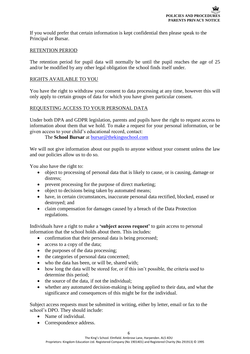If you would prefer that certain information is kept confidential then please speak to the Principal or Bursar.

### RETENTION PERIOD

The retention period for pupil data will normally be until the pupil reaches the age of 25 and/or be modified by any other legal obligation the school finds itself under.

### RIGHTS AVAILABLE TO YOU

You have the right to withdraw your consent to data processing at any time, however this will only apply to certain groups of data for which you have given particular consent.

## REQUESTING ACCESS TO YOUR PERSONAL DATA

Under both DPA and GDPR legislation, parents and pupils have the right to request access to information about them that we hold. To make a request for your personal information, or be given access to your child's educational record, contact:

The **School Bursar** at [bursar@thekingsschool.com](mailto:bursar@thekingsschool.com)

We will not give information about our pupils to anyone without your consent unless the law and our policies allow us to do so.

You also have the right to:

- object to processing of personal data that is likely to cause, or is causing, damage or distress;
- prevent processing for the purpose of direct marketing;
- object to decisions being taken by automated means;
- have, in certain circumstances, inaccurate personal data rectified, blocked, erased or destroyed; and
- claim compensation for damages caused by a breach of the Data Protection regulations.

Individuals have a right to make a **'subject access request'** to gain access to personal information that the school holds about them. This includes:

- confirmation that their personal data is being processed;
- access to a copy of the data;
- the purposes of the data processing;
- the categories of personal data concerned:
- who the data has been, or will be, shared with;
- how long the data will be stored for, or if this isn't possible, the criteria used to determine this period;
- the source of the data, if not the individual;
- whether any automated decision-making is being applied to their data, and what the significance and consequences of this might be for the individual.

Subject access requests must be submitted in writing, either by letter, email or fax to the school's DPO. They should include:

- Name of individual.
- Correspondence address.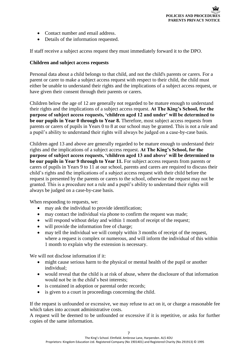- Contact number and email address.
- Details of the information requested.

If staff receive a subject access request they must immediately forward it to the DPO.

#### **Children and subject access requests**

Personal data about a child belongs to that child, and not the child's parents or carers. For a parent or carer to make a subject access request with respect to their child, the child must either be unable to understand their rights and the implications of a subject access request, or have given their consent through their parents or carers.

Children below the age of 12 are generally not regarded to be mature enough to understand their rights and the implications of a subject access request. **At The King's School, for the purpose of subject access requests, 'children aged 12 and under' will be determined to be our pupils in Year 0 through to Year 8.** Therefore, most subject access requests from parents or carers of pupils in Years 0 to 8 at our school may be granted. This is not a rule and a pupil's ability to understand their rights will always be judged on a case-by-case basis.

Children aged 13 and above are generally regarded to be mature enough to understand their rights and the implications of a subject access request. **At The King's School, for the purpose of subject access requests, 'children aged 13 and above' will be determined to be our pupils in Year 9 through to Year 11.** For subject access requests from parents or carers of pupils in Years 9 to 11 at our school, parents and carers are required to discuss their child's rights and the implications of a subject access request with their child before the request is presented by the parents or carers to the school, otherwise the request may not be granted. This is a procedure not a rule and a pupil's ability to understand their rights will always be judged on a case-by-case basis.

When responding to requests, we:

- may ask the individual to provide identification;
- may contact the individual via phone to confirm the request was made;
- will respond without delay and within 1 month of receipt of the request;
- will provide the information free of charge;
- may tell the individual we will comply within 3 months of receipt of the request, where a request is complex or numerous, and will inform the individual of this within 1 month to explain why the extension is necessary.

We will not disclose information if it:

- might cause serious harm to the physical or mental health of the pupil or another individual;
- would reveal that the child is at risk of abuse, where the disclosure of that information would not be in the child's best interests;
- is contained in adoption or parental order records;
- is given to a court in proceedings concerning the child.

If the request is unfounded or excessive, we may refuse to act on it, or charge a reasonable fee which takes into account administrative costs.

A request will be deemed to be unfounded or excessive if it is repetitive, or asks for further copies of the same information.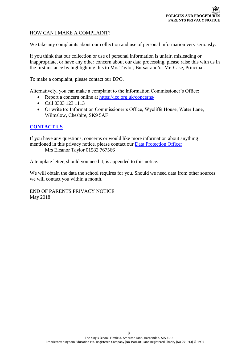## HOW CAN I MAKE A COMPLAINT?

We take any complaints about our collection and use of personal information very seriously.

If you think that our collection or use of personal information is unfair, misleading or inappropriate, or have any other concern about our data processing, please raise this with us in the first instance by highlighting this to Mrs Taylor, Bursar and/or Mr. Case, Principal.

To make a complaint, please contact our DPO.

Alternatively, you can make a complaint to the Information Commissioner's Office:

- Report a concern online at<https://ico.org.uk/concerns/>
- Call 0303 123 1113
- Or write to: Information Commissioner's Office, Wycliffe House, Water Lane, Wilmslow, Cheshire, SK9 5AF

### **[CONTACT US](http://www.thekingsschool.com/contact-us-kings-school-harpenden.html)**

If you have any questions, concerns or would like more information about anything mentioned in this privacy notice, please contact our [Data Protection](mailto:bursar@thekingssschool.com) Officer Mrs Eleanor Taylor 01582 767566

A template letter, should you need it, is appended to this notice.

We will obtain the data the school requires for you. Should we need data from other sources we will contact you within a month.

END OF PARENTS PRIVACY NOTICE May 2018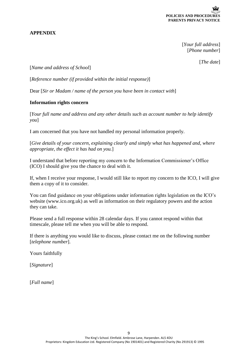

## **APPENDIX**

[*Your full address*] [*Phone number*]

[*The date*]

[*Name and address of School*]

[*Reference number (if provided within the initial response)*]

Dear [*Sir or Madam / name of the person you have been in contact with*]

### **Information rights concern**

[*Your full name and address and any other details such as account number to help identify you*]

I am concerned that you have not handled my personal information properly.

[*Give details of your concern, explaining clearly and simply what has happened and, where appropriate, the effect it has had on you.*]

I understand that before reporting my concern to the Information Commissioner's Office (ICO) I should give you the chance to deal with it.

If, when I receive your response, I would still like to report my concern to the ICO, I will give them a copy of it to consider.

You can find guidance on your obligations under information rights legislation on the ICO's website [\(www.ico.org.uk\)](http://www.ico.org.uk/) as well as information on their regulatory powers and the action they can take.

Please send a full response within 28 calendar days. If you cannot respond within that timescale, please tell me when you will be able to respond.

If there is anything you would like to discuss, please contact me on the following number [*telephone number*].

Yours faithfully

[*Signature*]

[*Full name*]

9